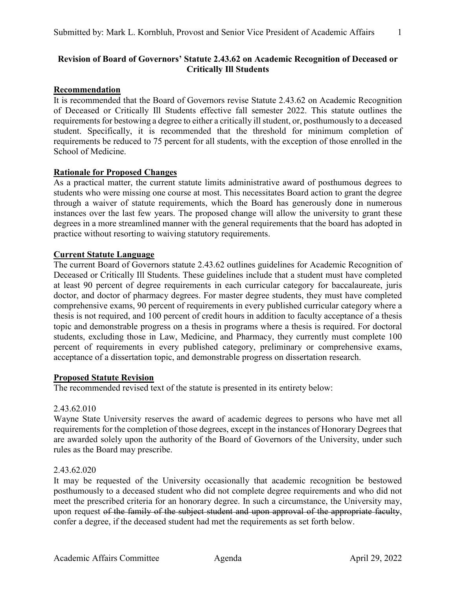# **Revision of Board of Governors' Statute 2.43.62 on Academic Recognition of Deceased or Critically Ill Students**

# **Recommendation**

It is recommended that the Board of Governors revise Statute 2.43.62 on Academic Recognition of Deceased or Critically Ill Students effective fall semester 2022. This statute outlines the requirements for bestowing a degree to either a critically ill student, or, posthumously to a deceased student. Specifically, it is recommended that the threshold for minimum completion of requirements be reduced to 75 percent for all students, with the exception of those enrolled in the School of Medicine.

## **Rationale for Proposed Changes**

As a practical matter, the current statute limits administrative award of posthumous degrees to students who were missing one course at most. This necessitates Board action to grant the degree through a waiver of statute requirements, which the Board has generously done in numerous instances over the last few years. The proposed change will allow the university to grant these degrees in a more streamlined manner with the general requirements that the board has adopted in practice without resorting to waiving statutory requirements.

# **Current Statute Language**

The current Board of Governors statute 2.43.62 outlines guidelines for Academic Recognition of Deceased or Critically Ill Students. These guidelines include that a student must have completed at least 90 percent of degree requirements in each curricular category for baccalaureate, juris doctor, and doctor of pharmacy degrees. For master degree students, they must have completed comprehensive exams, 90 percent of requirements in every published curricular category where a thesis is not required, and 100 percent of credit hours in addition to faculty acceptance of a thesis topic and demonstrable progress on a thesis in programs where a thesis is required. For doctoral students, excluding those in Law, Medicine, and Pharmacy, they currently must complete 100 percent of requirements in every published category, preliminary or comprehensive exams, acceptance of a dissertation topic, and demonstrable progress on dissertation research.

## **Proposed Statute Revision**

The recommended revised text of the statute is presented in its entirety below:

## 2.43.62.010

Wayne State University reserves the award of academic degrees to persons who have met all requirements for the completion of those degrees, except in the instances of Honorary Degrees that are awarded solely upon the authority of the Board of Governors of the University, under such rules as the Board may prescribe.

## 2.43.62.020

It may be requested of the University occasionally that academic recognition be bestowed posthumously to a deceased student who did not complete degree requirements and who did not meet the prescribed criteria for an honorary degree. In such a circumstance, the University may, upon request of the family of the subject student and upon approval of the appropriate faculty, confer a degree, if the deceased student had met the requirements as set forth below.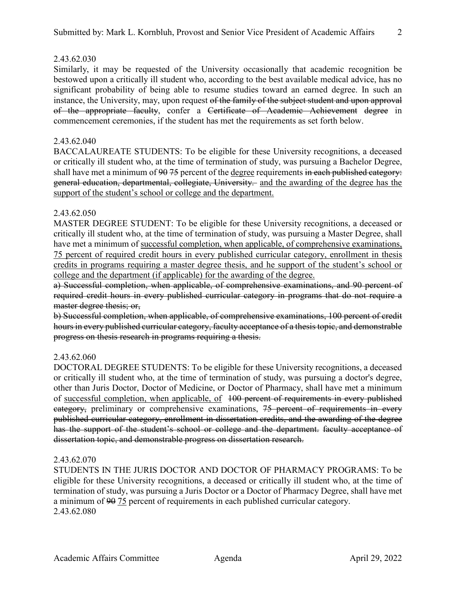## 2.43.62.030

Similarly, it may be requested of the University occasionally that academic recognition be bestowed upon a critically ill student who, according to the best available medical advice, has no significant probability of being able to resume studies toward an earned degree. In such an instance, the University, may, upon request of the family of the subject student and upon approval of the appropriate faculty, confer a Certificate of Academic Achievement degree in commencement ceremonies, if the student has met the requirements as set forth below.

#### 2.43.62.040

BACCALAUREATE STUDENTS: To be eligible for these University recognitions, a deceased or critically ill student who, at the time of termination of study, was pursuing a Bachelor Degree, shall have met a minimum of 90 75 percent of the degree requirements in each published category. general education, departmental, collegiate, University. and the awarding of the degree has the support of the student's school or college and the department.

#### 2.43.62.050

MASTER DEGREE STUDENT: To be eligible for these University recognitions, a deceased or critically ill student who, at the time of termination of study, was pursuing a Master Degree, shall have met a minimum of successful completion, when applicable, of comprehensive examinations, 75 percent of required credit hours in every published curricular category, enrollment in thesis credits in programs requiring a master degree thesis, and he support of the student's school or college and the department (if applicable) for the awarding of the degree.

a) Successful completion, when applicable, of comprehensive examinations, and 90 percent of required credit hours in every published curricular category in programs that do not require a master degree thesis; or,

b) Successful completion, when applicable, of comprehensive examinations, 100 percent of credit hours in every published curricular category, faculty acceptance of a thesis topic, and demonstrable progress on thesis research in programs requiring a thesis.

#### 2.43.62.060

DOCTORAL DEGREE STUDENTS: To be eligible for these University recognitions, a deceased or critically ill student who, at the time of termination of study, was pursuing a doctor's degree, other than Juris Doctor, Doctor of Medicine, or Doctor of Pharmacy, shall have met a minimum of successful completion, when applicable, of 100 percent of requirements in every published eategory, preliminary or comprehensive examinations, 75 percent of requirements in every published curricular category, enrollment in dissertation credits, and the awarding of the degree has the support of the student's school or college and the department. faculty acceptance of dissertation topic, and demonstrable progress on dissertation research.

#### 2.43.62.070

STUDENTS IN THE JURIS DOCTOR AND DOCTOR OF PHARMACY PROGRAMS: To be eligible for these University recognitions, a deceased or critically ill student who, at the time of termination of study, was pursuing a Juris Doctor or a Doctor of Pharmacy Degree, shall have met a minimum of 90 75 percent of requirements in each published curricular category. 2.43.62.080